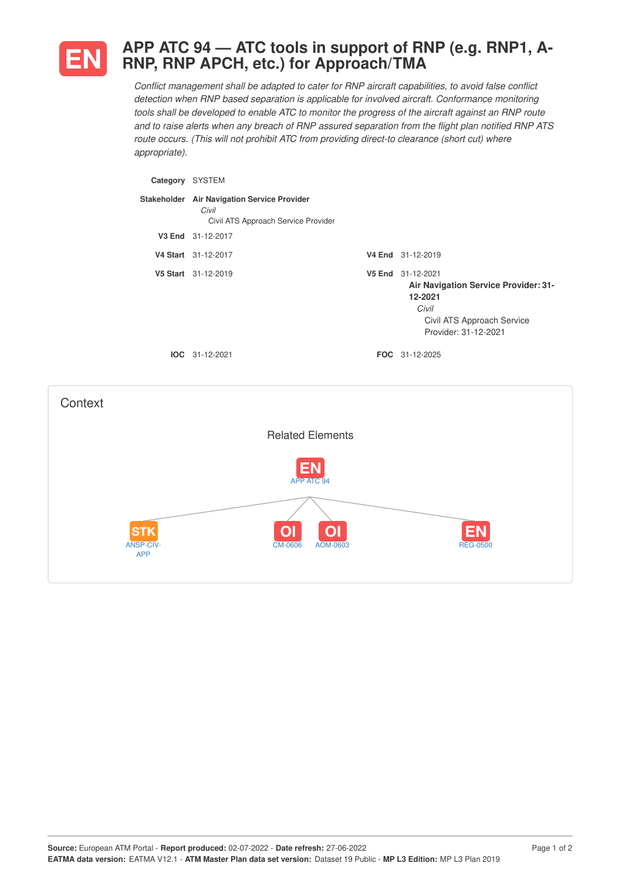

ANSP-CIV-APP

## **APP ATC 94 — ATC tools in support of RNP (e.g. RNP1, A-RNP, RNP APCH, etc.) for Approach/TMA**

*Conflict management shall be adapted to cater for RNP aircraft capabilities, to avoid false conflict detection when RNP based separation is applicable for involved aircraft. Conformance monitoring* tools shall be developed to enable ATC to monitor the progress of the aircraft against an RNP route and to raise alerts when any breach of RNP assured separation from the flight plan notified RNP ATS *route occurs. (This will not prohibit ATC from providing direct-to clearance (short cut) where appropriate).*

| Category SYSTEM |                                                                                             |                                                                                                                                     |
|-----------------|---------------------------------------------------------------------------------------------|-------------------------------------------------------------------------------------------------------------------------------------|
|                 | Stakeholder Air Navigation Service Provider<br>Civil<br>Civil ATS Approach Service Provider |                                                                                                                                     |
|                 | V3 End 31-12-2017                                                                           |                                                                                                                                     |
|                 | V4 Start 31-12-2017                                                                         | V4 End 31-12-2019                                                                                                                   |
|                 | V5 Start 31-12-2019                                                                         | V5 End 31-12-2021<br>Air Navigation Service Provider: 31-<br>12-2021<br>Civil<br>Civil ATS Approach Service<br>Provider: 31-12-2021 |
|                 | IOC 31-12-2021                                                                              | FOC 31-12-2025                                                                                                                      |
| Context         |                                                                                             |                                                                                                                                     |
|                 | <b>Related Elements</b>                                                                     |                                                                                                                                     |
|                 | APP ATC 94                                                                                  |                                                                                                                                     |
|                 |                                                                                             |                                                                                                                                     |
| <b>STK</b>      |                                                                                             | F                                                                                                                                   |

CM-0606 AOM-0603 REG-0500